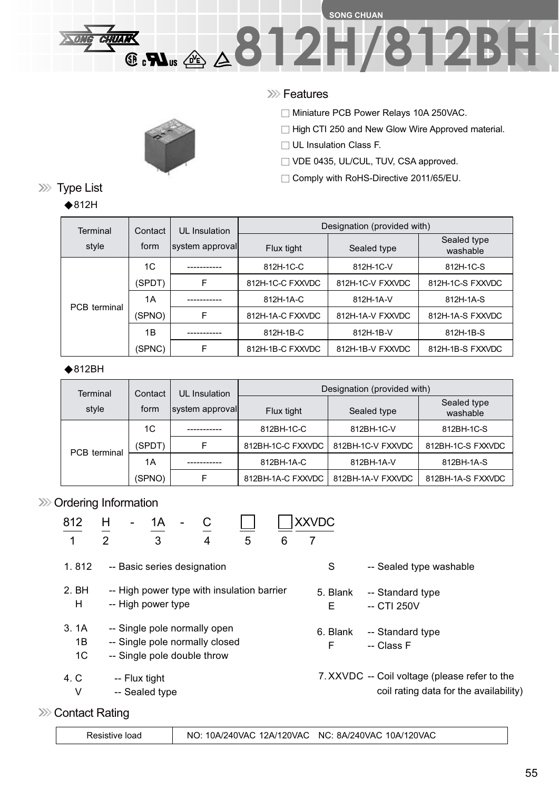### **SONG CHUAN 8.N. 4812H/812BH CHUAN**

#### **XXX** Features

□ Miniature PCB Power Relays 10A 250VAC.

□ High CTI 250 and New Glow Wire Approved material.

 $\Box$  UL Insulation Class F.

□ VDE 0435, UL/CUL, TUV, CSA approved.

□ Comply with RoHS-Directive 2011/65/EU.

|  | Terminal     | Contact | UL Insulation    | Designation (provided with) |                  |                                                                                                       |  |
|--|--------------|---------|------------------|-----------------------------|------------------|-------------------------------------------------------------------------------------------------------|--|
|  | style        | form    | system approvall | Flux tight                  | Sealed type      | Sealed type<br>washable                                                                               |  |
|  |              | 1C      |                  | 812H-1C-C                   | 812H-1C-V        | 812H-1C-S<br>812H-1C-S FXXVDC<br>812H-1A-V<br>812H-1A-S<br>812H-1A-S FXXVDC<br>812H-1B-V<br>812H-1B-S |  |
|  | PCB terminal | (SPDT)  | F                | 812H-1C-C FXXVDC            | 812H-1C-V FXXVDC |                                                                                                       |  |
|  |              | 1A      |                  | 812H-1A-C                   |                  |                                                                                                       |  |
|  |              | (SPNO)  | F                | 812H-1A-C FXXVDC            | 812H-1A-V FXXVDC |                                                                                                       |  |
|  |              | 1Β      |                  | 812H-1B-C                   |                  |                                                                                                       |  |
|  |              | (SPNC)  | F                | 812H-1B-C FXXVDC            | 812H-1B-V FXXVDC | 812H-1B-S FXXVDC                                                                                      |  |

#### $\bigstar$ 812BH

| Terminal            | Contact | UL Insulation   | Designation (provided with) |                   |                         |  |
|---------------------|---------|-----------------|-----------------------------|-------------------|-------------------------|--|
| style               | form    | system approval | Flux tight                  | Sealed type       | Sealed type<br>washable |  |
|                     | 1C      |                 | 812BH-1C-C                  | 812BH-1C-V        | 812BH-1C-S              |  |
| <b>PCB</b> terminal | (SPDT)  | F               | 812BH-1C-C FXXVDC           | 812BH-1C-V FXXVDC | 812BH-1C-S FXXVDC       |  |
|                     | 1A      |                 | 812BH-1A-C                  | 812BH-1A-V        | 812BH-1A-S              |  |
|                     | (SPNO)  |                 | 812BH-1A-C FXXVDC           | 812BH-1A-V FXXVDC | 812BH-1A-S FXXVDC       |  |

#### >>>> Ordering Information

| 812            | Н<br>С<br>1Α<br>$\overline{\phantom{0}}$   | <b>XXVDC</b> |                                               |
|----------------|--------------------------------------------|--------------|-----------------------------------------------|
| 1              | 3<br>2<br>5<br>4<br>6                      |              |                                               |
| 1.812          | -- Basic series designation                | S            | -- Sealed type washable                       |
| 2. BH          | -- High power type with insulation barrier | 5. Blank     | -- Standard type                              |
| H              | -- High power type                         | Е            | -- CTI 250V                                   |
| 3.1A           | -- Single pole normally open               | 6. Blank     | -- Standard type                              |
| 1B             | -- Single pole normally closed             | F            | -- Class F                                    |
| 1 <sup>C</sup> | -- Single pole double throw                |              |                                               |
| 4. C           | -- Flux tight                              |              | 7. XXVDC -- Coil voltage (please refer to the |
| V              | -- Sealed type                             |              | coil rating data for the availability)        |

**EXECONTRACT Rating** 

| NO: 10A/240VAC 12A/120VAC NC: 8A/240VAC 10A/120VAC<br>Resistive load |  |
|----------------------------------------------------------------------|--|
|----------------------------------------------------------------------|--|

**XXX** Type List

 $\triangle$ 812H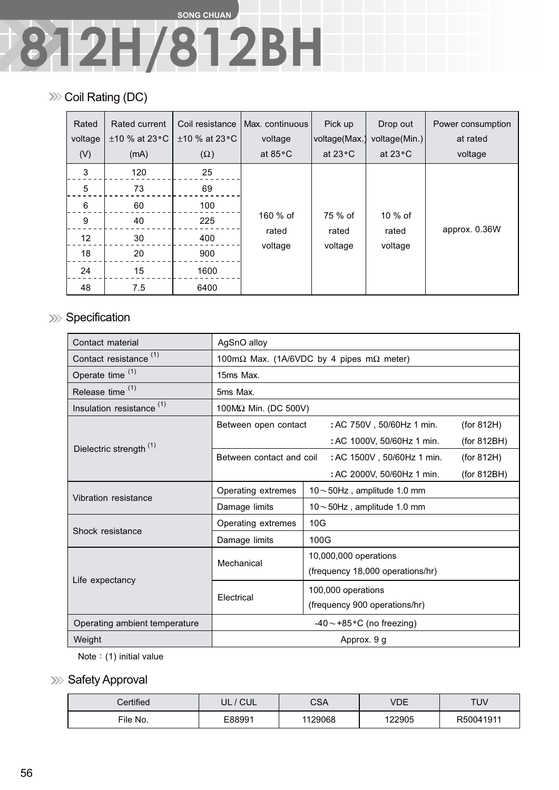## **SONG CHUAN 812H/812BH**

#### **EXECUTE:** Coil Rating (DC)

| Rated<br>voltage<br>(V) | Rated current<br>$\pm$ 10 % at 23 °C<br>(mA) | Coil resistance<br>$\pm$ 10 % at 23 °C<br>$(\Omega)$ | Max. continuous<br>voltage<br>at $85^{\circ}$ C | Pick up<br>voltage(Max.)<br>at $23^{\circ}$ C | Drop out<br>voltage(Min.)<br>at $23^{\circ}$ C | Power consumption<br>at rated<br>voltage |
|-------------------------|----------------------------------------------|------------------------------------------------------|-------------------------------------------------|-----------------------------------------------|------------------------------------------------|------------------------------------------|
| 3                       | 120                                          | 25                                                   |                                                 |                                               |                                                |                                          |
| 5                       | 73                                           | 69                                                   |                                                 |                                               |                                                |                                          |
| 6                       | 60                                           | 100                                                  |                                                 |                                               |                                                |                                          |
| 9                       | 40                                           | 225                                                  | 160 % of<br>rated                               | 75 % of<br>rated                              | $10\%$ of<br>rated                             | approx. 0.36W                            |
| 12                      | 30                                           | 400                                                  |                                                 |                                               |                                                |                                          |
| 18                      | 20                                           | 900                                                  | voltage                                         | voltage                                       | voltage                                        |                                          |
| 24                      | 15                                           | 1600                                                 |                                                 |                                               |                                                |                                          |
| 48                      | 7.5                                          | 6400                                                 |                                                 |                                               |                                                |                                          |

### **Specification**

| Contact material                     | AgSnO alloy                                              |                                           |  |  |  |
|--------------------------------------|----------------------------------------------------------|-------------------------------------------|--|--|--|
| Contact resistance <sup>(1)</sup>    | 100m $\Omega$ Max. (1A/6VDC by 4 pipes m $\Omega$ meter) |                                           |  |  |  |
| Operate time (1)                     | 15ms Max.                                                |                                           |  |  |  |
| Release time <sup>(1)</sup>          | 5ms Max.                                                 |                                           |  |  |  |
| Insulation resistance <sup>(1)</sup> | 100MΩ Min. (DC 500V)                                     |                                           |  |  |  |
|                                      | Between open contact                                     | (for 812H)<br>: AC 750V, 50/60Hz 1 min.   |  |  |  |
| Dielectric strength <sup>(1)</sup>   |                                                          | : AC 1000V, 50/60Hz 1 min.<br>(for 812BH) |  |  |  |
|                                      | Between contact and coil                                 | : AC 1500V, 50/60Hz 1 min.<br>(for 812H)  |  |  |  |
|                                      |                                                          | : AC 2000V, 50/60Hz 1 min.<br>(for 812BH) |  |  |  |
| Vibration resistance                 | Operating extremes                                       | $10\!\sim\!50$ Hz, amplitude 1.0 mm       |  |  |  |
|                                      | Damage limits                                            | $10\!\sim\!50$ Hz, amplitude 1.0 mm       |  |  |  |
| Shock resistance                     | Operating extremes                                       | 10G                                       |  |  |  |
|                                      | Damage limits                                            | 100G                                      |  |  |  |
|                                      | Mechanical                                               | 10,000,000 operations                     |  |  |  |
|                                      |                                                          | (frequency 18,000 operations/hr)          |  |  |  |
| Life expectancy                      |                                                          | 100,000 operations                        |  |  |  |
|                                      | Electrical                                               | (frequency 900 operations/hr)             |  |  |  |
| Operating ambient temperature        | $-40$ ~ +85 °C (no freezing)                             |                                           |  |  |  |
| Weight                               | Approx. 9 g                                              |                                           |  |  |  |

Note:  $(1)$  initial value

#### >>> Safety Approval

| $\mathcal L$ ertified $\mathcal L$ | <b>CUL</b><br>UL | <b>CSA</b> | VDE    | TUV       |
|------------------------------------|------------------|------------|--------|-----------|
| File No.                           | E88991           | 1129068    | 122905 | R50041911 |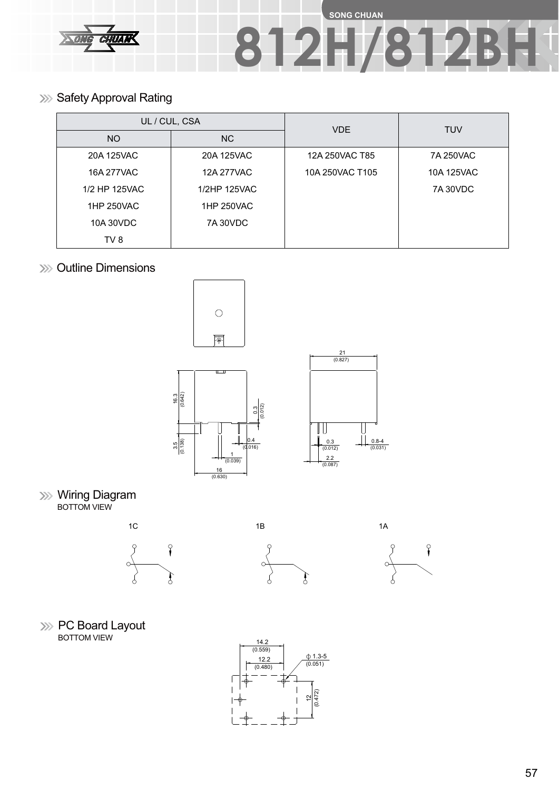

## **SONG CHUAN 812H/812BH**

**Safety Approval Rating** 

|                          | UL / CUL, CSA | <b>VDE</b>      | <b>TUV</b>      |  |
|--------------------------|---------------|-----------------|-----------------|--|
| NO.                      | <b>NC</b>     |                 |                 |  |
| 20A 125VAC               | 20A 125VAC    | 12A 250VAC T85  | 7A 250VAC       |  |
| 16A 277VAC<br>12A 277VAC |               | 10A 250VAC T105 | 10A 125VAC      |  |
| 1/2 HP 125VAC            | 1/2HP 125VAC  |                 | <b>7A 30VDC</b> |  |
| 1HP 250VAC               | 1HP 250VAC    |                 |                 |  |
| 10A 30VDC                | 7A 30VDC      |                 |                 |  |
| TV 8                     |               |                 |                 |  |

**XXX** Outline Dimensions







**Wiring Diagram** BOTTOM VIEW







**EXECT** Board Layout BOTTOM VIEW